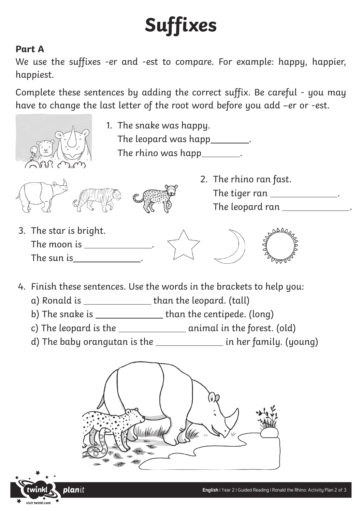# **Suffixes**

### **Part A**

We use the suffixes -er and -est to compare. For example: happy, happier, happiest.

Complete these sentences by adding the correct suffix. Be careful - you may have to change the last letter of the root word before you add –er or -est.



1. The snake was happy. The leopard was happ\_\_\_\_\_\_\_\_. The rhino was happ \_\_\_\_\_\_\_.





- 2. The rhino ran fast. The tiger ran \_\_\_\_\_\_\_\_\_\_\_\_\_. The leopard ran
- 3. The star is bright. The moon is . The sun is .



- 4. Finish these sentences. Use the words in the brackets to help you:
	- $a)$  Ronald is  $\frac{a}{b}$  than the leopard. (tall)
	- b) The snake is  $\rule{1em}{0.15mm}$  than the centipede. (long)
	- c) The leopard is the  $\_\_\_\_\_\_\_$  animal in the forest. (old)
	- d) The baby orangutan is the interfamily. (young)



![](_page_0_Picture_17.jpeg)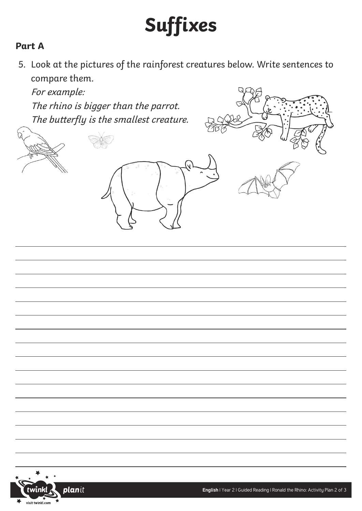# **Suffixes**

### **Part A**

5. Look at the pictures of the rainforest creatures below. Write sentences to compare them.

For example: The rhino is bigger than the parrot. The butterfly is the smallest creature.

![](_page_1_Picture_4.jpeg)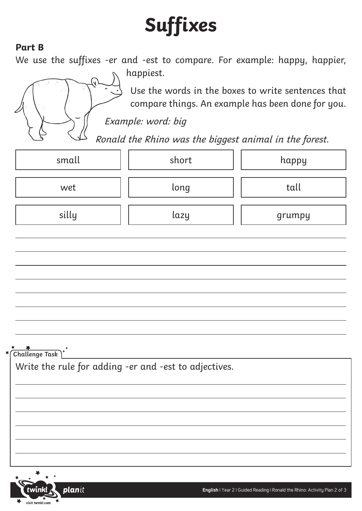## **Suffixes**

#### **Part B**

We use the suffixes -er and -est to compare. For example: happy, happier, happiest.

![](_page_2_Picture_3.jpeg)

Use the words in the boxes to write sentences that compare things. An example has been done for you.

Example: word: big

Ronald the Rhino was the biggest animal in the forest.

![](_page_2_Figure_7.jpeg)

![](_page_2_Picture_8.jpeg)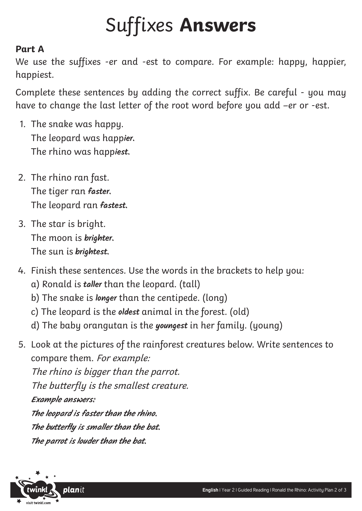## Suffixes **Answers**

### **Part A**

We use the suffixes -er and -est to compare. For example: happy, happier, happiest.

Complete these sentences by adding the correct suffix. Be careful - you may have to change the last letter of the root word before you add –er or -est.

- 1. The snake was happy. The leopard was happ**ier.** The rhino was happ**iest.**
- 2. The rhino ran fast. The tiger ran **faster.** The leopard ran **fastest.**
- 3. The star is bright. The moon is **brighter.** The sun is **brightest.**
- 4. Finish these sentences. Use the words in the brackets to help you:
	- a) Ronald is **taller** than the leopard. (tall)
	- b) The snake is **longer** than the centipede. (long)
	- c) The leopard is the **oldest** animal in the forest. (old)
	- d) The baby orangutan is the **youngest** in her family. (young)
- 5. Look at the pictures of the rainforest creatures below. Write sentences to compare them. For example: The rhino is bigger than the parrot. The butterfly is the smallest creature. **Example answers: The leopard is faster than the rhino. The butterfly is smaller than the bat. The parrot is louder than the bat.**

![](_page_3_Picture_13.jpeg)